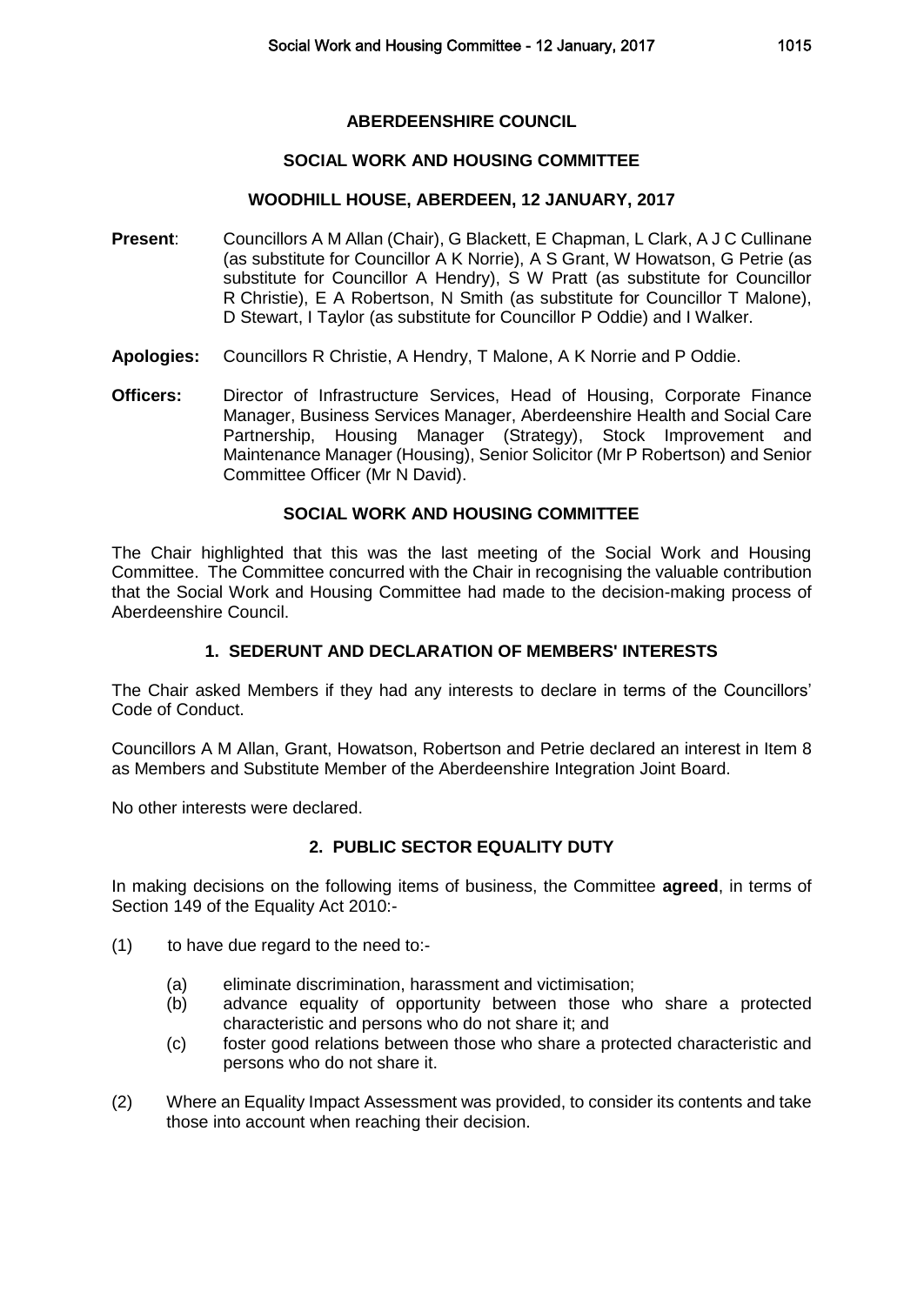## **ABERDEENSHIRE COUNCIL**

### **SOCIAL WORK AND HOUSING COMMITTEE**

## **WOODHILL HOUSE, ABERDEEN, 12 JANUARY, 2017**

- **Present**: Councillors A M Allan (Chair), G Blackett, E Chapman, L Clark, A J C Cullinane (as substitute for Councillor A K Norrie), A S Grant, W Howatson, G Petrie (as substitute for Councillor A Hendry), S W Pratt (as substitute for Councillor R Christie), E A Robertson, N Smith (as substitute for Councillor T Malone), D Stewart, I Taylor (as substitute for Councillor P Oddie) and I Walker.
- **Apologies:** Councillors R Christie, A Hendry, T Malone, A K Norrie and P Oddie.
- **Officers:** Director of Infrastructure Services, Head of Housing, Corporate Finance Manager, Business Services Manager, Aberdeenshire Health and Social Care Partnership, Housing Manager (Strategy), Stock Improvement and Maintenance Manager (Housing), Senior Solicitor (Mr P Robertson) and Senior Committee Officer (Mr N David).

## **SOCIAL WORK AND HOUSING COMMITTEE**

The Chair highlighted that this was the last meeting of the Social Work and Housing Committee. The Committee concurred with the Chair in recognising the valuable contribution that the Social Work and Housing Committee had made to the decision-making process of Aberdeenshire Council.

## **1. SEDERUNT AND DECLARATION OF MEMBERS' INTERESTS**

The Chair asked Members if they had any interests to declare in terms of the Councillors' Code of Conduct.

Councillors A M Allan, Grant, Howatson, Robertson and Petrie declared an interest in Item 8 as Members and Substitute Member of the Aberdeenshire Integration Joint Board.

No other interests were declared.

# **2. PUBLIC SECTOR EQUALITY DUTY**

In making decisions on the following items of business, the Committee **agreed**, in terms of Section 149 of the Equality Act 2010:-

- (1) to have due regard to the need to:-
	- (a) eliminate discrimination, harassment and victimisation;
	- (b) advance equality of opportunity between those who share a protected characteristic and persons who do not share it; and
	- (c) foster good relations between those who share a protected characteristic and persons who do not share it.
- (2) Where an Equality Impact Assessment was provided, to consider its contents and take those into account when reaching their decision.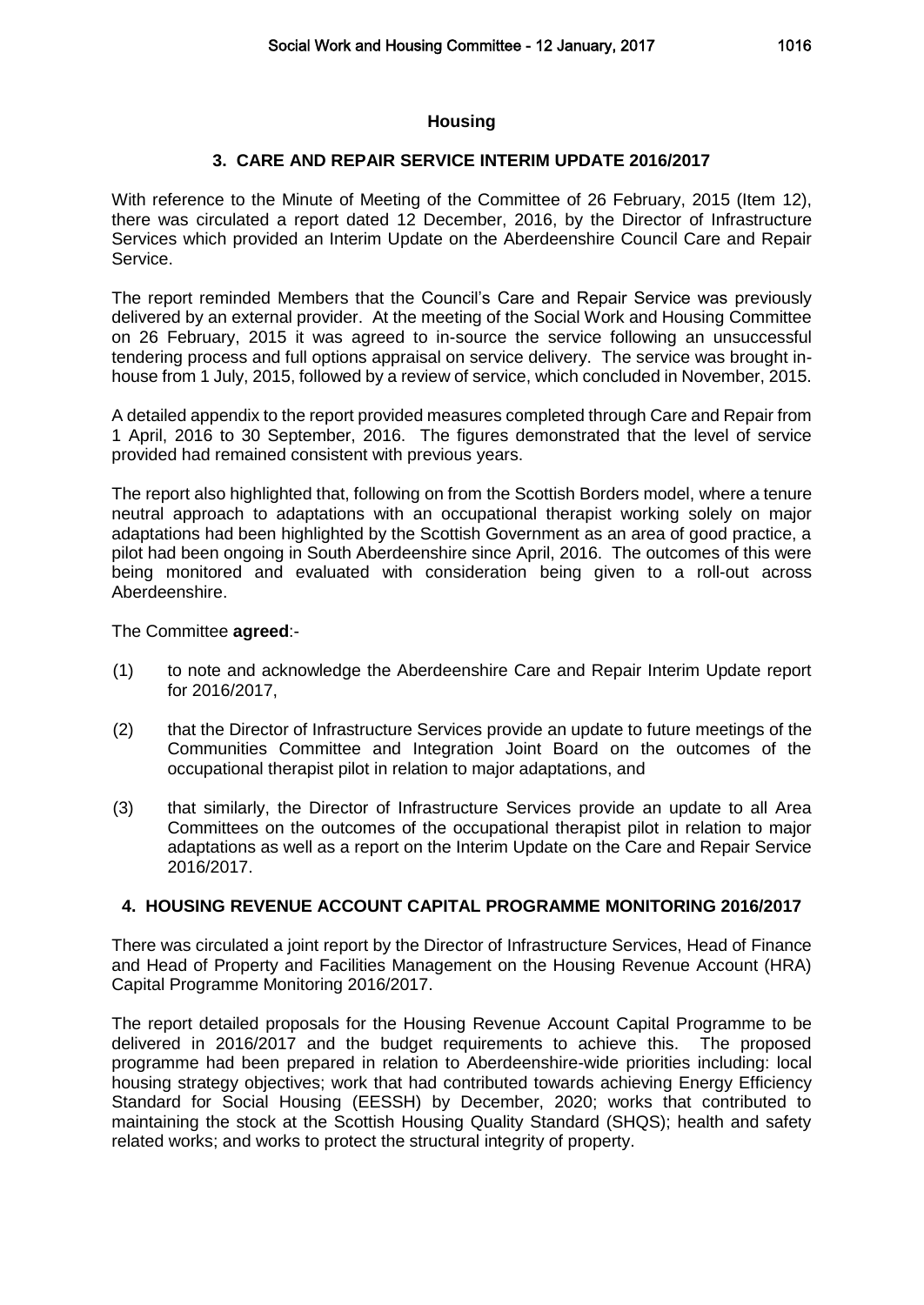### **Housing**

## **3. CARE AND REPAIR SERVICE INTERIM UPDATE 2016/2017**

With reference to the Minute of Meeting of the Committee of 26 February, 2015 (Item 12), there was circulated a report dated 12 December, 2016, by the Director of Infrastructure Services which provided an Interim Update on the Aberdeenshire Council Care and Repair Service.

The report reminded Members that the Council's Care and Repair Service was previously delivered by an external provider. At the meeting of the Social Work and Housing Committee on 26 February, 2015 it was agreed to in-source the service following an unsuccessful tendering process and full options appraisal on service delivery. The service was brought inhouse from 1 July, 2015, followed by a review of service, which concluded in November, 2015.

A detailed appendix to the report provided measures completed through Care and Repair from 1 April, 2016 to 30 September, 2016. The figures demonstrated that the level of service provided had remained consistent with previous years.

The report also highlighted that, following on from the Scottish Borders model, where a tenure neutral approach to adaptations with an occupational therapist working solely on major adaptations had been highlighted by the Scottish Government as an area of good practice, a pilot had been ongoing in South Aberdeenshire since April, 2016. The outcomes of this were being monitored and evaluated with consideration being given to a roll-out across Aberdeenshire.

The Committee **agreed**:-

- (1) to note and acknowledge the Aberdeenshire Care and Repair Interim Update report for 2016/2017,
- (2) that the Director of Infrastructure Services provide an update to future meetings of the Communities Committee and Integration Joint Board on the outcomes of the occupational therapist pilot in relation to major adaptations, and
- (3) that similarly, the Director of Infrastructure Services provide an update to all Area Committees on the outcomes of the occupational therapist pilot in relation to major adaptations as well as a report on the Interim Update on the Care and Repair Service 2016/2017.

# **4. HOUSING REVENUE ACCOUNT CAPITAL PROGRAMME MONITORING 2016/2017**

There was circulated a joint report by the Director of Infrastructure Services, Head of Finance and Head of Property and Facilities Management on the Housing Revenue Account (HRA) Capital Programme Monitoring 2016/2017.

The report detailed proposals for the Housing Revenue Account Capital Programme to be delivered in 2016/2017 and the budget requirements to achieve this. The proposed programme had been prepared in relation to Aberdeenshire-wide priorities including: local housing strategy objectives; work that had contributed towards achieving Energy Efficiency Standard for Social Housing (EESSH) by December, 2020; works that contributed to maintaining the stock at the Scottish Housing Quality Standard (SHQS); health and safety related works; and works to protect the structural integrity of property.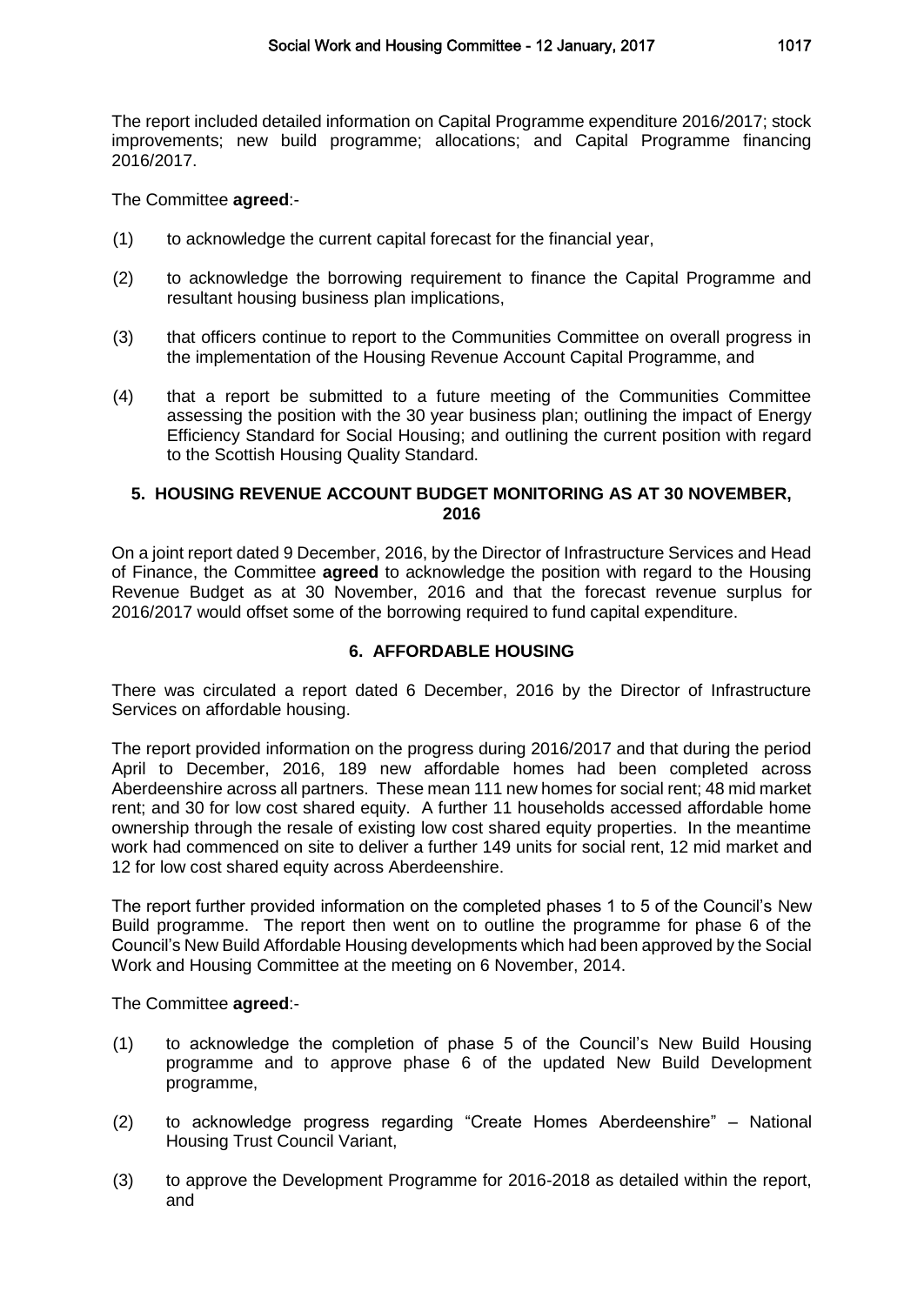The report included detailed information on Capital Programme expenditure 2016/2017; stock improvements; new build programme; allocations; and Capital Programme financing 2016/2017.

The Committee **agreed**:-

- (1) to acknowledge the current capital forecast for the financial year,
- (2) to acknowledge the borrowing requirement to finance the Capital Programme and resultant housing business plan implications,
- (3) that officers continue to report to the Communities Committee on overall progress in the implementation of the Housing Revenue Account Capital Programme, and
- (4) that a report be submitted to a future meeting of the Communities Committee assessing the position with the 30 year business plan; outlining the impact of Energy Efficiency Standard for Social Housing; and outlining the current position with regard to the Scottish Housing Quality Standard.

## **5. HOUSING REVENUE ACCOUNT BUDGET MONITORING AS AT 30 NOVEMBER, 2016**

On a joint report dated 9 December, 2016, by the Director of Infrastructure Services and Head of Finance, the Committee **agreed** to acknowledge the position with regard to the Housing Revenue Budget as at 30 November, 2016 and that the forecast revenue surplus for 2016/2017 would offset some of the borrowing required to fund capital expenditure.

# **6. AFFORDABLE HOUSING**

There was circulated a report dated 6 December, 2016 by the Director of Infrastructure Services on affordable housing.

The report provided information on the progress during 2016/2017 and that during the period April to December, 2016, 189 new affordable homes had been completed across Aberdeenshire across all partners. These mean 111 new homes for social rent; 48 mid market rent; and 30 for low cost shared equity. A further 11 households accessed affordable home ownership through the resale of existing low cost shared equity properties. In the meantime work had commenced on site to deliver a further 149 units for social rent, 12 mid market and 12 for low cost shared equity across Aberdeenshire.

The report further provided information on the completed phases 1 to 5 of the Council's New Build programme. The report then went on to outline the programme for phase 6 of the Council's New Build Affordable Housing developments which had been approved by the Social Work and Housing Committee at the meeting on 6 November, 2014.

The Committee **agreed**:-

- (1) to acknowledge the completion of phase 5 of the Council's New Build Housing programme and to approve phase 6 of the updated New Build Development programme,
- (2) to acknowledge progress regarding "Create Homes Aberdeenshire" National Housing Trust Council Variant,
- (3) to approve the Development Programme for 2016-2018 as detailed within the report, and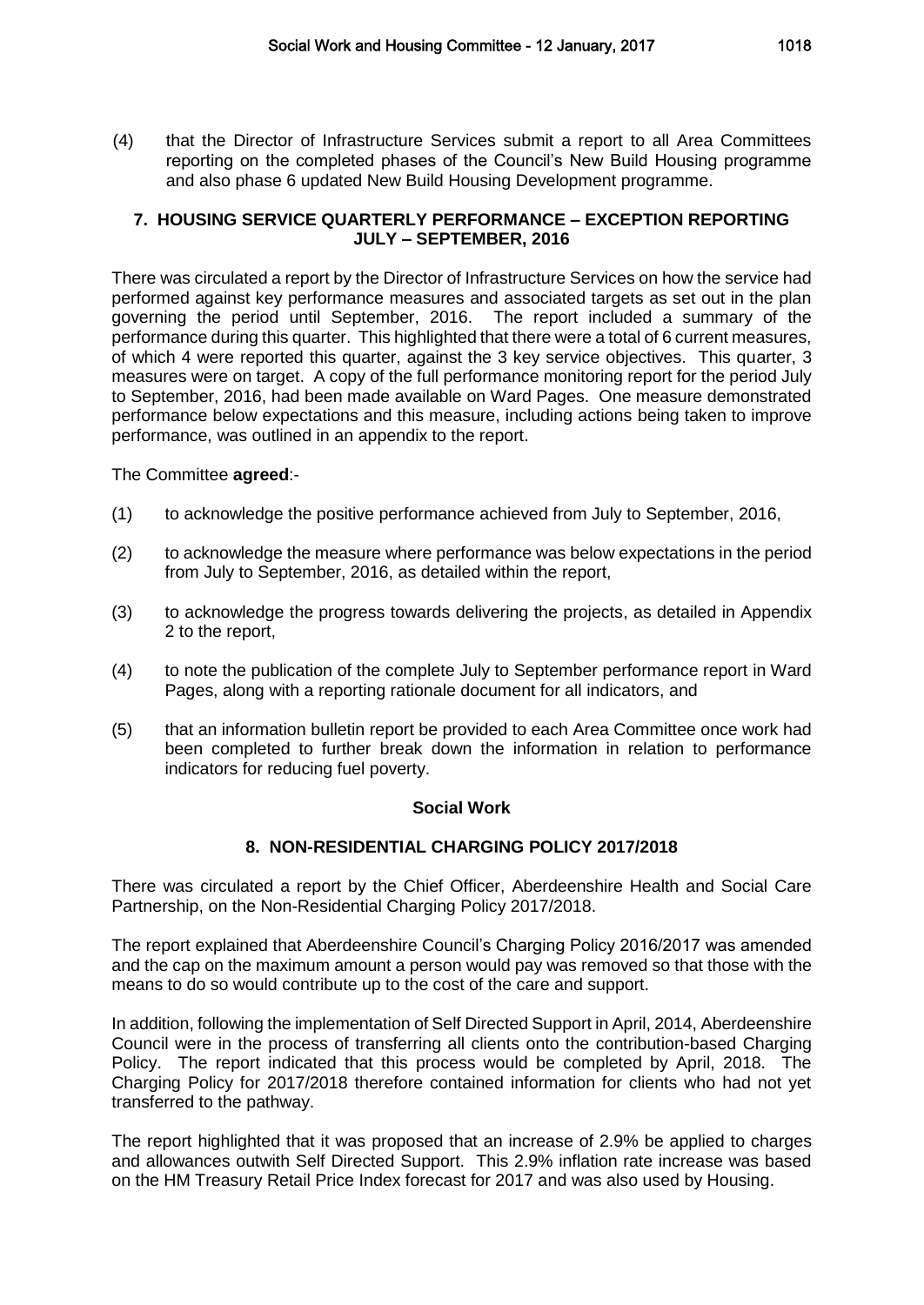(4) that the Director of Infrastructure Services submit a report to all Area Committees reporting on the completed phases of the Council's New Build Housing programme and also phase 6 updated New Build Housing Development programme.

# **7. HOUSING SERVICE QUARTERLY PERFORMANCE – EXCEPTION REPORTING JULY – SEPTEMBER, 2016**

There was circulated a report by the Director of Infrastructure Services on how the service had performed against key performance measures and associated targets as set out in the plan governing the period until September, 2016. The report included a summary of the performance during this quarter. This highlighted that there were a total of 6 current measures, of which 4 were reported this quarter, against the 3 key service objectives. This quarter, 3 measures were on target. A copy of the full performance monitoring report for the period July to September, 2016, had been made available on Ward Pages. One measure demonstrated performance below expectations and this measure, including actions being taken to improve performance, was outlined in an appendix to the report.

The Committee **agreed**:-

- (1) to acknowledge the positive performance achieved from July to September, 2016,
- (2) to acknowledge the measure where performance was below expectations in the period from July to September, 2016, as detailed within the report,
- (3) to acknowledge the progress towards delivering the projects, as detailed in Appendix 2 to the report,
- (4) to note the publication of the complete July to September performance report in Ward Pages, along with a reporting rationale document for all indicators, and
- (5) that an information bulletin report be provided to each Area Committee once work had been completed to further break down the information in relation to performance indicators for reducing fuel poverty.

# **Social Work**

# **8. NON-RESIDENTIAL CHARGING POLICY 2017/2018**

There was circulated a report by the Chief Officer, Aberdeenshire Health and Social Care Partnership, on the Non-Residential Charging Policy 2017/2018.

The report explained that Aberdeenshire Council's Charging Policy 2016/2017 was amended and the cap on the maximum amount a person would pay was removed so that those with the means to do so would contribute up to the cost of the care and support.

In addition, following the implementation of Self Directed Support in April, 2014, Aberdeenshire Council were in the process of transferring all clients onto the contribution-based Charging Policy. The report indicated that this process would be completed by April, 2018. The Charging Policy for 2017/2018 therefore contained information for clients who had not yet transferred to the pathway.

The report highlighted that it was proposed that an increase of 2.9% be applied to charges and allowances outwith Self Directed Support. This 2.9% inflation rate increase was based on the HM Treasury Retail Price Index forecast for 2017 and was also used by Housing.